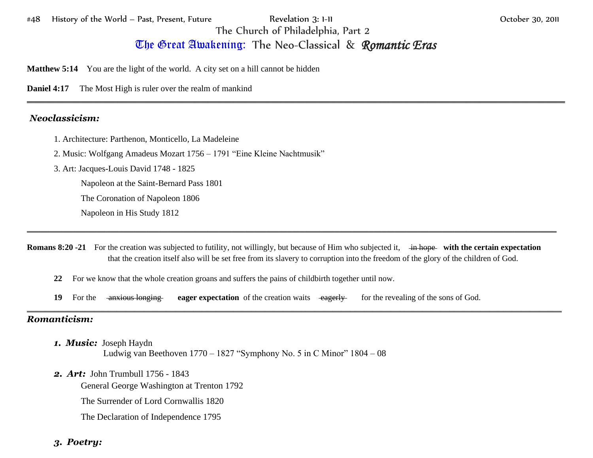The Great Awakening:The Neo-Classical & *Romantic Eras*

\_\_\_\_\_\_\_\_\_\_\_\_\_\_\_\_\_\_\_\_\_\_\_\_\_\_\_\_\_\_\_\_\_\_\_\_\_\_\_\_\_\_\_\_\_\_\_\_\_\_\_\_\_\_\_\_\_\_\_\_\_\_\_\_\_\_\_\_\_\_\_\_\_\_\_\_\_\_\_\_\_\_\_\_\_\_\_\_\_\_\_\_\_\_\_\_\_\_\_\_\_\_\_\_\_\_\_\_\_\_\_\_\_\_\_\_\_\_\_\_\_\_\_\_\_

**Matthew 5:14** You are the light of the world. A city set on a hill cannot be hidden

**Daniel 4:17** The Most High is ruler over the realm of mankind

## *Neoclassicism:*

- 1. Architecture: Parthenon, Monticello, La Madeleine
- 2. Music: Wolfgang Amadeus Mozart 1756 1791 "Eine Kleine Nachtmusik"
- 3. Art: Jacques-Louis David 1748 1825

Napoleon at the Saint-Bernard Pass 1801

The Coronation of Napoleon 1806

Napoleon in His Study 1812

**Romans 8:20 -21** For the creation was subjected to futility, not willingly, but because of Him who subjected it, in hope with the certain expectation that the creation itself also will be set free from its slavery to corruption into the freedom of the glory of the children of God.

\_\_\_\_\_\_\_\_\_\_\_\_\_\_\_\_\_\_\_\_\_\_\_\_\_\_\_\_\_\_\_\_\_\_\_\_\_\_\_\_\_\_\_\_\_\_\_\_\_\_\_\_\_\_\_\_\_\_\_\_\_\_\_\_\_\_\_\_\_\_\_\_\_\_\_\_\_\_\_\_\_\_\_\_\_\_\_\_\_\_\_\_\_\_\_\_\_\_\_\_\_\_\_\_\_\_\_\_\_\_\_\_\_\_\_\_\_\_\_\_\_\_\_

\_\_\_\_\_\_\_\_\_\_\_\_\_\_\_\_\_\_\_\_\_\_\_\_\_\_\_\_\_\_\_\_\_\_\_\_\_\_\_\_\_\_\_\_\_\_\_\_\_\_\_\_\_\_\_\_\_\_\_\_\_\_\_\_\_\_\_\_\_\_\_\_\_\_\_\_\_\_\_\_\_\_\_\_\_\_\_\_\_\_\_\_\_\_\_\_\_\_\_\_\_\_\_\_\_\_\_\_\_\_\_\_\_\_\_\_\_\_\_

- **22** For we know that the whole creation groans and suffers the pains of childbirth together until now.
- **19** For the anxious longing eager expectation of the creation waits eagerly for the revealing of the sons of God.

## *Romanticism:*

- *1. Music:* Joseph Haydn Ludwig van Beethoven 1770 – 1827 "Symphony No. 5 in C Minor" 1804 – 08
- *2. Art:* John Trumbull 1756 1843

General George Washington at Trenton 1792

The Surrender of Lord Cornwallis 1820

The Declaration of Independence 1795

## *3. Poetry:*